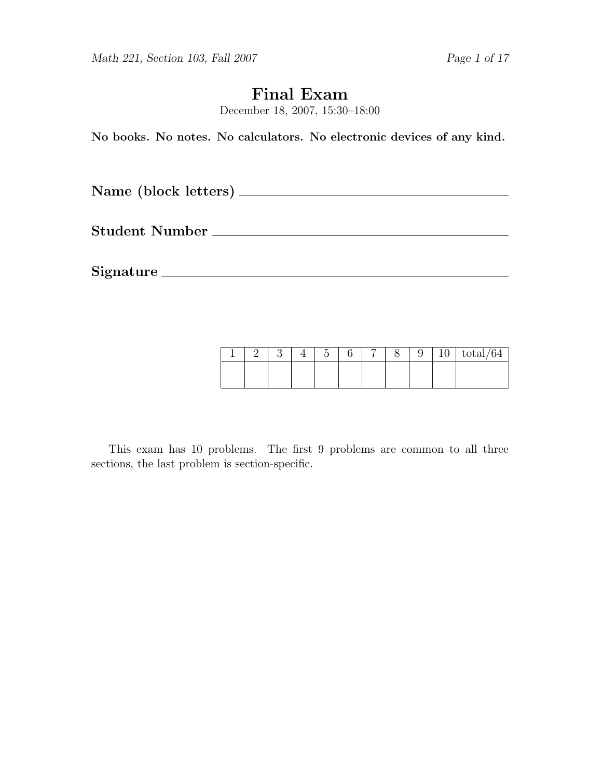Math 221, Section 103, Fall 2007 Page 1 of 17

# Final Exam

December 18, 2007, 15:30–18:00

No books. No notes. No calculators. No electronic devices of any kind.

Name (block letters)

Student Number

Signature

|  |  | $\tilde{\phantom{a}}$ | − |  | ٠<br>ΙU | $\mathrm{total}/64$ |
|--|--|-----------------------|---|--|---------|---------------------|
|  |  |                       |   |  |         |                     |

This exam has 10 problems. The first 9 problems are common to all three sections, the last problem is section-specific.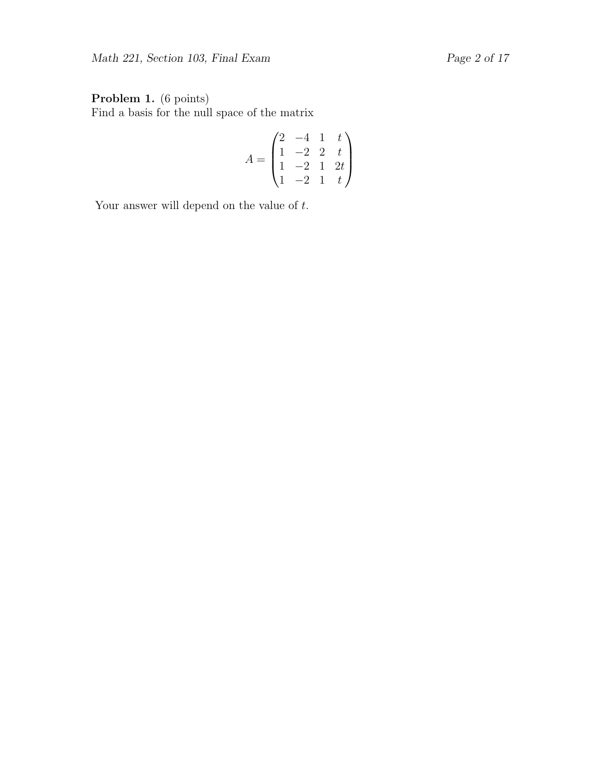## Problem 1. (6 points)

Find a basis for the null space of the matrix

$$
A = \begin{pmatrix} 2 & -4 & 1 & t \\ 1 & -2 & 2 & t \\ 1 & -2 & 1 & 2t \\ 1 & -2 & 1 & t \end{pmatrix}
$$

Your answer will depend on the value of  $t$ .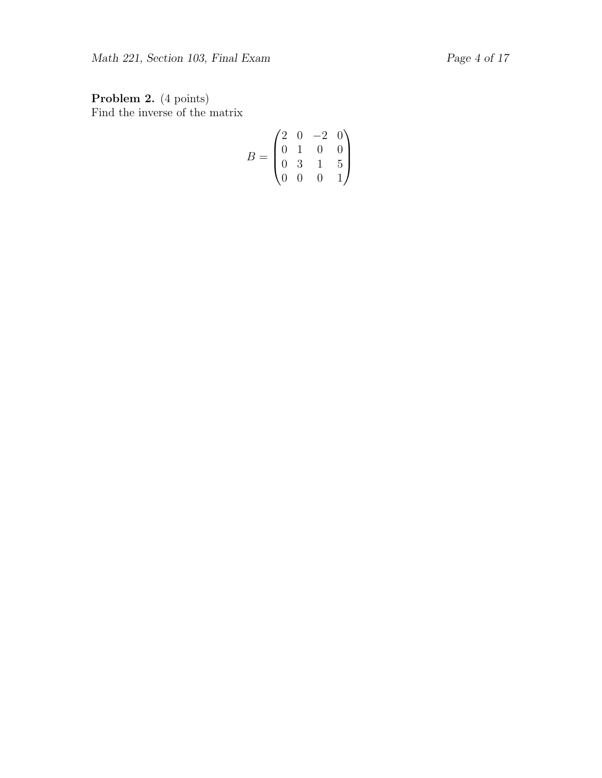Problem 2. (4 points) Find the inverse of the matrix

$$
B = \begin{pmatrix} 2 & 0 & -2 & 0 \\ 0 & 1 & 0 & 0 \\ 0 & 3 & 1 & 5 \\ 0 & 0 & 0 & 1 \end{pmatrix}
$$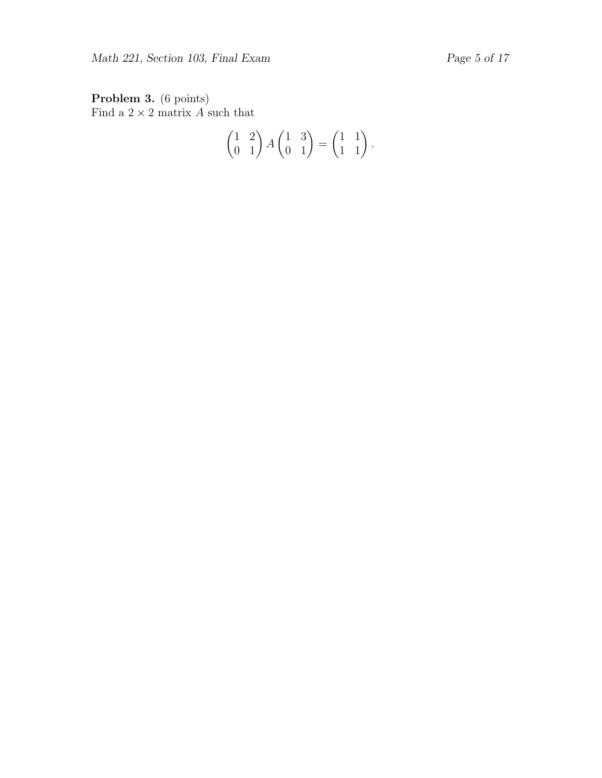Problem 3. (6 points) Find a  $2 \times 2$  matrix A such that

$$
\begin{pmatrix} 1 & 2 \ 0 & 1 \end{pmatrix} A \begin{pmatrix} 1 & 3 \ 0 & 1 \end{pmatrix} = \begin{pmatrix} 1 & 1 \ 1 & 1 \end{pmatrix}.
$$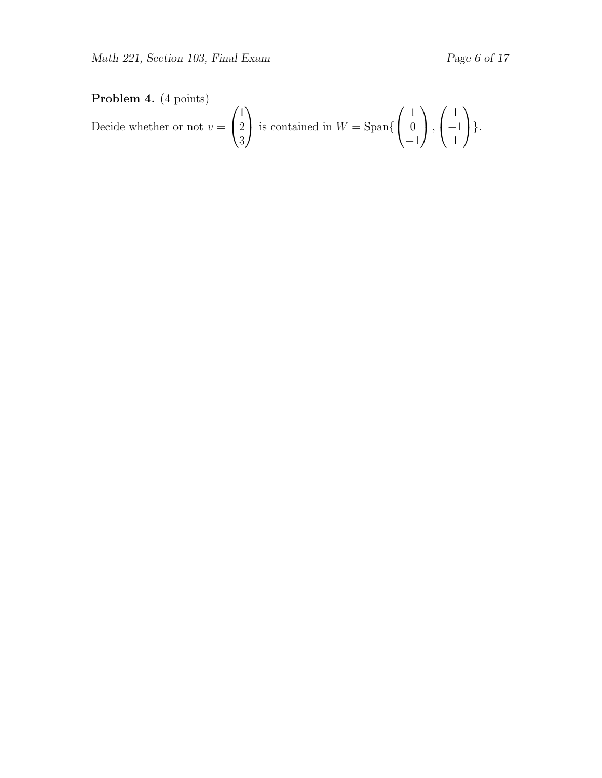# Problem 4. (4 points)

Decide whether or not 
$$
v = \begin{pmatrix} 1 \\ 2 \\ 3 \end{pmatrix}
$$
 is contained in  $W = \text{Span}\left\{\begin{pmatrix} 1 \\ 0 \\ -1 \end{pmatrix}, \begin{pmatrix} 1 \\ -1 \\ 1 \end{pmatrix}\right\}.$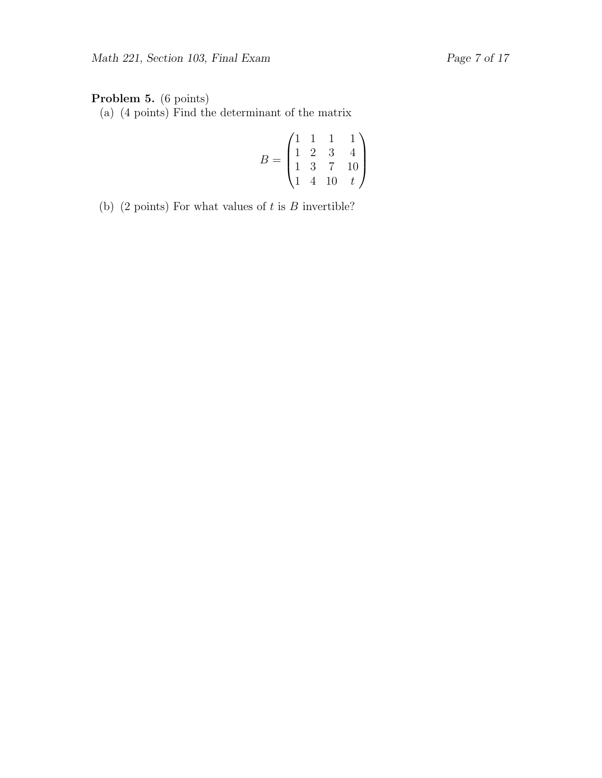## Problem 5. (6 points)

(a) (4 points) Find the determinant of the matrix

$$
B = \begin{pmatrix} 1 & 1 & 1 & 1 \\ 1 & 2 & 3 & 4 \\ 1 & 3 & 7 & 10 \\ 1 & 4 & 10 & t \end{pmatrix}
$$

(b) (2 points) For what values of  $t$  is  $B$  invertible?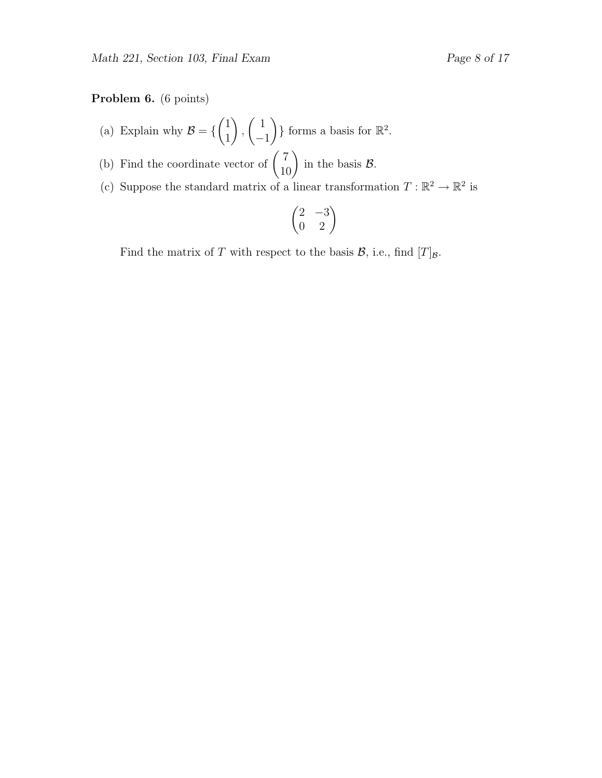### Problem 6. (6 points)

- (a) Explain why  $\mathcal{B} = \{$  $(1)$ 1  $\setminus$ ,  $\begin{pmatrix} 1 \end{pmatrix}$ −1  $\}$  forms a basis for  $\mathbb{R}^2$ .
- (b) Find the coordinate vector of  $\begin{pmatrix} 7 \\ 10 \end{pmatrix}$  in the basis  $\mathcal{B}$ .
- (c) Suppose the standard matrix of a linear transformation  $T : \mathbb{R}^2 \to \mathbb{R}^2$  is

$$
\begin{pmatrix} 2 & -3 \\ 0 & 2 \end{pmatrix}
$$

Find the matrix of T with respect to the basis  $\mathcal{B}$ , i.e., find  $[T]_{\mathcal{B}}$ .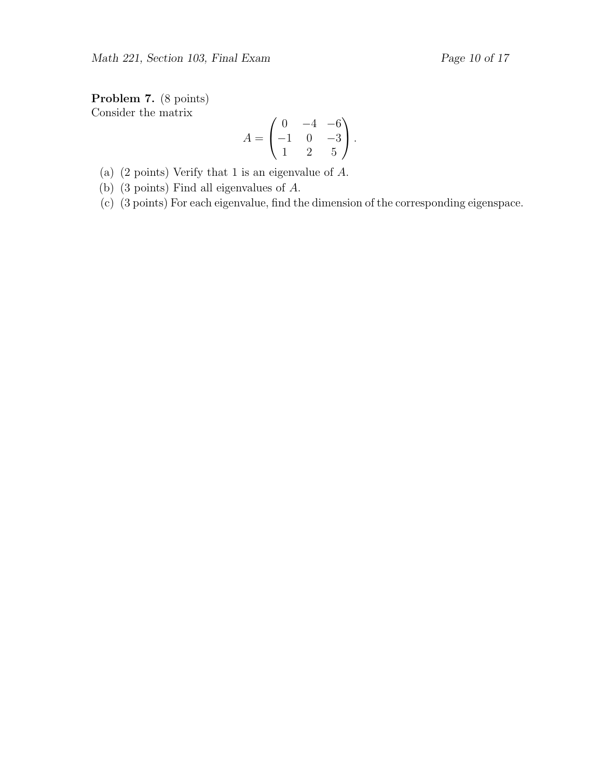Problem 7. (8 points) Consider the matrix

$$
A = \begin{pmatrix} 0 & -4 & -6 \\ -1 & 0 & -3 \\ 1 & 2 & 5 \end{pmatrix}.
$$

(a) (2 points) Verify that 1 is an eigenvalue of A.

(b) (3 points) Find all eigenvalues of A.

(c) (3 points) For each eigenvalue, find the dimension of the corresponding eigenspace.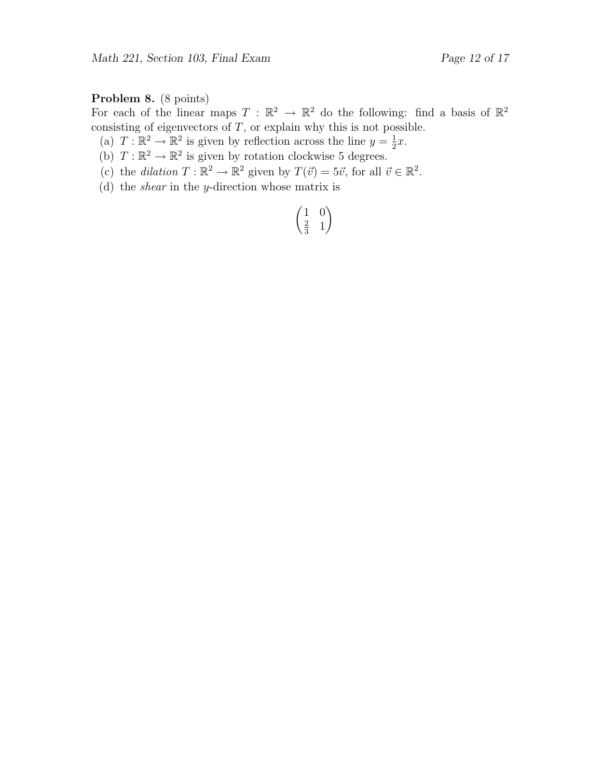# Problem 8. (8 points)

For each of the linear maps  $T : \mathbb{R}^2 \to \mathbb{R}^2$  do the following: find a basis of  $\mathbb{R}^2$ consisting of eigenvectors of  $T$ , or explain why this is not possible.

- (a)  $T : \mathbb{R}^2 \to \mathbb{R}^2$  is given by reflection across the line  $y = \frac{1}{2}$  $rac{1}{2}x$ .
- (b)  $T : \mathbb{R}^2 \to \mathbb{R}^2$  is given by rotation clockwise 5 degrees.
- (c) the dilation  $T : \mathbb{R}^2 \to \mathbb{R}^2$  given by  $T(\vec{v}) = 5\vec{v}$ , for all  $\vec{v} \in \mathbb{R}^2$ .
- (d) the shear in the y-direction whose matrix is

$$
\begin{pmatrix}\n1 & 0 \\
\frac{2}{3} & 1\n\end{pmatrix}
$$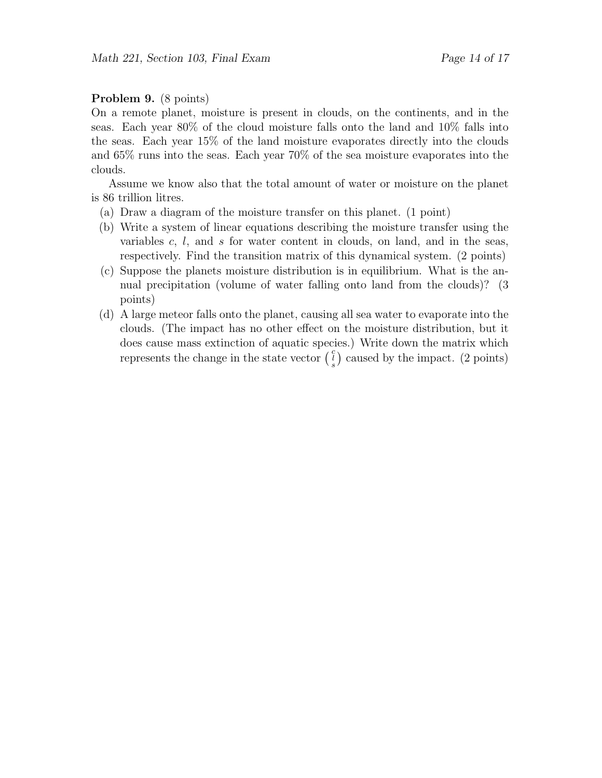#### Problem 9. (8 points)

On a remote planet, moisture is present in clouds, on the continents, and in the seas. Each year 80% of the cloud moisture falls onto the land and 10% falls into the seas. Each year 15% of the land moisture evaporates directly into the clouds and 65% runs into the seas. Each year 70% of the sea moisture evaporates into the clouds.

Assume we know also that the total amount of water or moisture on the planet is 86 trillion litres.

- (a) Draw a diagram of the moisture transfer on this planet. (1 point)
- (b) Write a system of linear equations describing the moisture transfer using the variables  $c, l$ , and  $s$  for water content in clouds, on land, and in the seas, respectively. Find the transition matrix of this dynamical system. (2 points)
- (c) Suppose the planets moisture distribution is in equilibrium. What is the annual precipitation (volume of water falling onto land from the clouds)? (3 points)
- (d) A large meteor falls onto the planet, causing all sea water to evaporate into the clouds. (The impact has no other effect on the moisture distribution, but it does cause mass extinction of aquatic species.) Write down the matrix which represents the change in the state vector  $\begin{pmatrix} c \\ s \end{pmatrix}$  caused by the impact. (2 points)